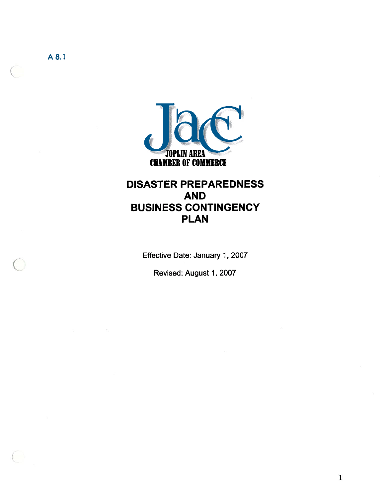

## DISASTER PREPAREDNESS AND BUSINESS CONTINGENCY PLAN

Effective Date: January 1, 2007

Revised: August 1, 2007

A8.1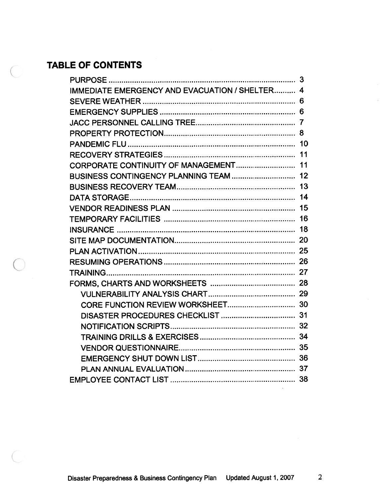# TABLE OF CONTENTS

| <b>IMMEDIATE EMERGENCY AND EVACUATION / SHELTER 4</b><br>11<br>15 | 3 |
|-------------------------------------------------------------------|---|
|                                                                   |   |
|                                                                   |   |
|                                                                   |   |
|                                                                   |   |
|                                                                   |   |
|                                                                   |   |
|                                                                   |   |
|                                                                   |   |
|                                                                   |   |
|                                                                   |   |
|                                                                   |   |
|                                                                   |   |
|                                                                   |   |
|                                                                   |   |
|                                                                   |   |
|                                                                   |   |
|                                                                   |   |
|                                                                   |   |
|                                                                   |   |
|                                                                   |   |
|                                                                   |   |
|                                                                   |   |
|                                                                   |   |
|                                                                   |   |
|                                                                   |   |
|                                                                   |   |
|                                                                   |   |
|                                                                   |   |

 $\frac{1}{2}$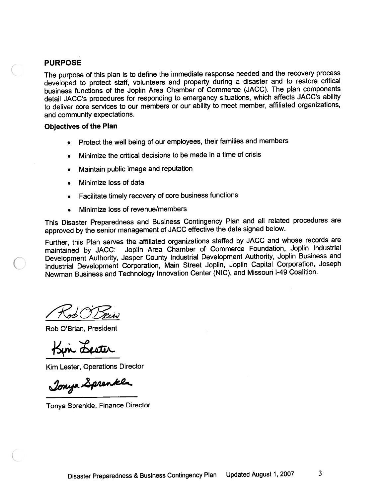#### PURPOSE

The purpose of this <sup>p</sup>lan is to define the immediate response needed and the recovery process developed to protect staff, volunteers and property during <sup>a</sup> disaster and to restore critical business functions of the Joplin Area Chamber of Commerce (JACC). The <sup>p</sup>lan components detail JACC's procedures for responding to emergency situations, which affects JACC's ability to deliver core services to our members or our ability to meet member, affiliated organizations, and community expectations.

#### Objectives of the Plan

- •Protect the well being of our employees, their families and members
- •Minimize the critical decisions to be made in <sup>a</sup> time of crisis
- •Maintain public image and reputation
- •Minimize loss of data
- •Facilitate timely recovery of core business functions
- •Minimize loss of revenue/members

This Disaster Preparedness and Business Contingency Plan and all related procedures are approve<sup>d</sup> by the senior managemen<sup>t</sup> of JACC effective the date signed below.

Further, this Plan serves the affiliated organizations staffed by JACC and whose records are maintained by JACC: Joplin Area Chamber of Commerce Foundation, Joplin Industrial Development Authority, Jasper County Industrial Development Authority, Joplin Business and Industrial Development Corporation, Main Street Joplin, Joplin Capital Corporation, Joseph Newman Business and Technology Innovation Center (NIC), and Missouri 1-49 Coalition.

Col OT Sein

Rob O'Brian, President

Kin Lester

Kim Lester, Operations Director

Jonya Sprenkle

Tonya Sprenkle, Finance Director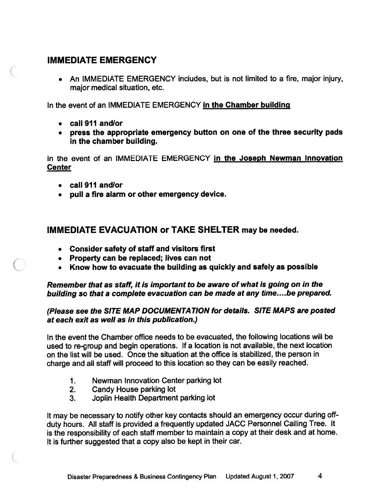#### IMMEDIATE EMERGENCY

• An IMMEDIATE EMERGENCY includes, but is not limited to <sup>a</sup> fire, major injury, major medical situation, etc.

In the event of an IMMEDIATE EMERGENCY in the Chamber building

- call 911 andlor
- press the appropriate emergency button on one of the three security pads in the chamber building.

In the event of an IMMEDIATE EMERGENCY in the Joseph Newman Innovation **Center** 

- call 911 andlor
- pull <sup>a</sup> fire alarm or other emergency device.

#### IMMEDIATE EVACUATION or TAKE SHELTER may be needed.

- Consider safety of staff and visitors first
- Property can be replaced; lives can not
- Know how to evacuate the building as quickly and safely as possible

Remember that as staff, it is important to be aware of what is going on in the building so that <sup>a</sup> complete evacuation can be made at any time....be prepare<sup>d</sup>

#### (Please see the SITE MAP DOCUMENTATION for details. SITE MAPS are posted at each exit as well as in this publication.)

In the event the Chamber office needs to be evacuated, the following locations will be used to re-group and begin operations. If <sup>a</sup> location is not available, the next location on the list will be used. Once the situation at the office is stabilized, the person in charge and all staff will procee<sup>d</sup> to this location so they can be easily reached.

- 1. Newman Innovation Center parking lot
- 2. Candy House parking lot
- 3. Joplin Health Department parking lot

It may be necessary to notify other key contacts should an emergency occur during offduty hours. All staff is provided <sup>a</sup> frequently updated JACC Personnel Calling Tree. It is the responsibility of each staff member to maintain <sup>a</sup> copy at their desk and at home. It is further suggested that <sup>a</sup> copy also be kept in their car.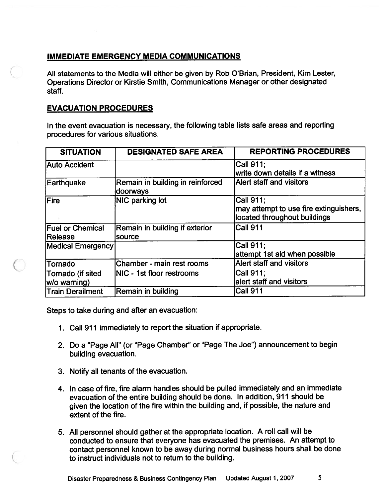#### IMMEDIATE EMERGENCY MEDIA COMMUNICATIONS

All statements to the Media will either be given by Rob O'Brian, President, Kim Lester, Operations Director or Kirstie Smith, Communications Manager or other designated staff.

#### EVACUATION PROCEDURES

In the event evacuation is necessary, the following table lists safe areas and reporting procedures for various situations.

| <b>SITUATION</b>         | <b>DESIGNATED SAFE AREA</b>                  | <b>REPORTING PROCEDURES</b>            |
|--------------------------|----------------------------------------------|----------------------------------------|
| Auto Accident            |                                              | $ Call$ 911;                           |
|                          |                                              | write down details if a witness        |
| Earthquake               | Remain in building in reinforced<br>doorways | <b>Alert staff and visitors</b>        |
| <b>Fire</b>              | NIC parking lot                              | Call 911;                              |
|                          |                                              | may attempt to use fire extinguishers, |
|                          |                                              | located throughout buildings           |
| <b>Fuel or Chemical</b>  | Remain in building if exterior               | Call 911                               |
| <b>Release</b>           | source                                       |                                        |
| <b>Medical Emergency</b> |                                              | <b>Call 911:</b>                       |
|                          |                                              | attempt 1st aid when possible          |
| <b>Tornado</b>           | Chamber - main rest rooms                    | <b>Alert staff and visitors</b>        |
| Tornado (if sited        | INIC - 1st floor restrooms                   | Call 911:                              |
| w/o warning)             |                                              | alert staff and visitors               |
| <b>Train Derailment</b>  | Remain in building                           | Call 911                               |

Steps to take during and after an evacuation:

- 1. Call 911 immediately to repor<sup>t</sup> the situation if appropriate.
- 2. Do <sup>a</sup> "Page All" (or "Page Chamber" or "Page The Joe") announcement to begin building evacuation.
- 3. Notify all tenants of the evacuation.
- 4. In case of fire, fire alarm handles should be pulled immediately and an immediate evacuation of the entire building should be done. In addition, 911 should be <sup>g</sup>iven the location of the fire within the building and, if possible, the nature and extent of the fire.
- 5. All personne<sup>l</sup> should gather at the appropriate location. <sup>A</sup> roll call will be conducted to ensure that everyone has evacuated the premises. An attempt to contact personne<sup>l</sup> known to be away during normal business hours shall be done to instruct individuals not to return to the building.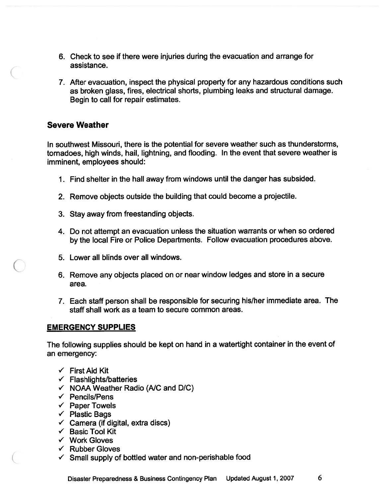- 6. Check to see if there were injuries during the evacuation and arrange for assistance.
- 7. After evacuation, inspect the physical property for any hazardous conditions such as broken glass, fires, electrical shorts, plumbing leaks and structural damage. Begin to call for repair estimates.

#### Severe Weather

In southwest Missouri, there is the potential for severe weather such as thunderstorms, tornadoes, high winds, hail, lightning, and flooding. In the event that severe weather is imminent, employees should:

- 1. Find shelter in the hail away from windows until the danger has subsided.
- 2. Remove objects outside the building that could become <sup>a</sup> projectile.
- 3. Stay away from freestanding objects.
- 4. Do not attempt an evacuation unless the situation warrants or when so ordered by the local Fire or Police Departments. Follow evacuation procedures above.
- 5. Lower all blinds over all windows.
- 6. Remove any objects placed on or near window ledges and store in <sup>a</sup> secure area.
- 7. Each staff person shall be responsible for securing his/her immediate area. The staff shall work as <sup>a</sup> team to secure common areas.

#### EMERGENCY SUPPLIES

The following supplies should be kept on hand in <sup>a</sup> watertight container in the event of an emergency:

- $\checkmark$  First Aid Kit
- $\checkmark$  Flashlights/batteries
- $\checkmark$  NOAA Weather Radio (A/C and D/C)
- $\checkmark$  Pencils/Pens
- $\checkmark$  Paper Towels
- $\checkmark$  Plastic Bags
- $\checkmark$  Camera (if digital, extra discs)
- $\checkmark$  Basic Tool Kit
- $\checkmark$  Work Gloves
- $\checkmark$  Rubber Gloves
- $\checkmark$  Small supply of bottled water and non-perishable food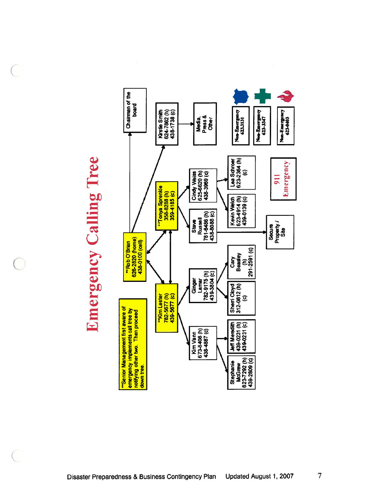**Emergency Calling Tree** Emergency Calling Tree

 $\subset$ 

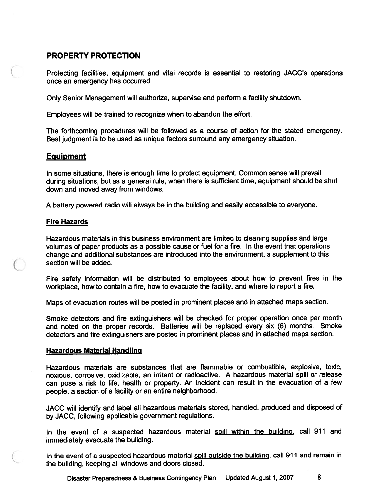#### PROPERTY PROTECTION

Protecting facilities, equipment and vital records is essential to restoring JACC's operations once an emergency has occurred.

Only Senior Management will authorize, supervise and perform <sup>a</sup> facility shutdown.

Employees will be trained to recognize when to abandon the effort.

The forthcoming procedures will be followed as <sup>a</sup> course of action for the stated emergency. Best judgment is to be used as unique factors surround any emergency situation.

#### Equipment

In some situations, there is enough time to protect equipment. Common sense will prevail during situations, but as <sup>a</sup> general rule, when there is sufficient time, equipment should be shut down and moved away from windows.

A battery powered radio will always be in the building and easily accessible to everyone.

#### Fire Hazards

Hazardous materials in this business environment are limited to cleaning supplies and large volumes of paper products as <sup>a</sup> possible cause or fuel for <sup>a</sup> fire. In the event that operations change and additional substances are introduced into the environment, <sup>a</sup> supplement to this section will be added.

Fire safety information will be distributed to employees about how to preven<sup>t</sup> fires in the workplace, how to contain <sup>a</sup> fire, how to evacuate the facility, and where to repor<sup>t</sup> <sup>a</sup> fire.

Maps of evacuation routes will be posted in prominent <sup>p</sup>laces and in attached maps section.

Smoke detectors and fire extinguishers will be checked for proper operation once per month and noted on the proper records. Batteries will be replaced every six (6) months. Smoke detectors and fire extinguishers are posted in prominent <sup>p</sup>laces and in attached maps section.

#### Hazardous Material Handling

Hazardous materials are substances that are flammable or combustible, explosive, toxic, noxious, corrosive, oxidizable, an irritant or radioactive. A hazardous material spill or release can pose <sup>a</sup> risk to life, health or property. An incident can result in the evacuation of <sup>a</sup> few people, <sup>a</sup> section of <sup>a</sup> facility or an entire neighborhood.

JACC will identify and label all hazardous materials stored, handled, produced and disposed of by JACC, following applicable governmen<sup>t</sup> regulations.

In the event of a suspected hazardous material spill within the building, call 911 and immediately evacuate the building.

In the event of a suspected hazardous material spill outside the building, call 911 and remain in the building, keeping all windows and doors closed.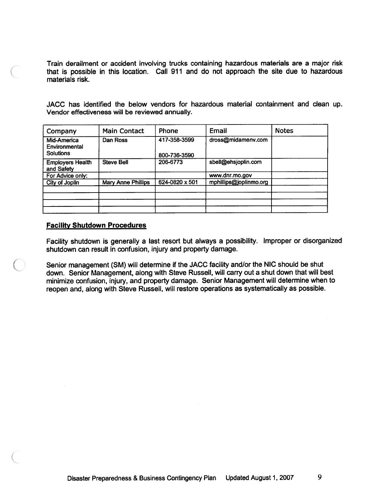Train derailment or accident involving trucks containing hazardous materials are <sup>a</sup> major risk that is possible in this location. Call 911 and do not approac<sup>h</sup> the site due to hazardous materials risk.

JACC has identified the below vendors for hazardous material containment and dean up. Vendor effectiveness will be reviewed annually.

| Company                                          | <b>Main Contact</b> | Phone                        | Email                  | <b>Notes</b> |
|--------------------------------------------------|---------------------|------------------------------|------------------------|--------------|
| Mid-America<br>Environmental<br><b>Solutions</b> | Dan Ross            | 417-358-3599<br>800-736-3590 | dross@midamenv.com     |              |
| <b>Employers Health</b><br>and Safety            | <b>Steve Bell</b>   | 206-6773                     | sbell@ehsjoplin.com    |              |
| For Advice only:                                 |                     |                              | www.dnr.mo.gov         |              |
| City of Joplin                                   | Mary Anne Phillips  | 624-0820 x 501               | mphillips@joplinmo.org |              |
|                                                  |                     |                              |                        |              |
|                                                  |                     |                              |                        |              |
|                                                  |                     |                              |                        |              |

#### Facility Shutdown Procedures

Facility shutdown is generally <sup>a</sup> last resort but always <sup>a</sup> possibility, Improper or disorganized shutdown can result in confusion, injury and property damage.

Senior managemen<sup>t</sup> (SM) will determine if the JACC facility and/or the NIC should be shut down. Senior Management, along with Steve Russell, will carry out <sup>a</sup> shut down that will best minimize confusion, injury, and property damage. Senior Management will determine when to reopen and, along with Steve Russell, will restore operations as systematically as possible.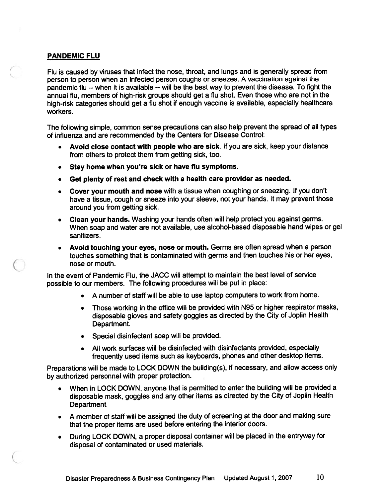#### PANDEMIC FLU

Flu is caused by viruses that infect the nose, throat, and lungs and is generally spread from person to person when an infected person coughs or sneezes. <sup>A</sup> vaccination against the pandemic flu — when it is available --will be the best way to preven<sup>t</sup> the disease. To fight the annual flu, members of high-risk groups should ge<sup>t</sup> <sup>a</sup> flu shot. Even those who are not in the high-risk categories should ge<sup>t</sup> <sup>a</sup> flu shot if enoug<sup>h</sup> vaccine is available, especially healthcare workers.

The following simple, common sense precautions can also help preven<sup>t</sup> the sprea<sup>d</sup> of all types of influenza and are recommended by the Centers for Disease Control:

- Avoid close contact with people who are sick. If you are sick, keep your distance from others to protect them from getting sick, too.
- Stay home when you're sick or have flu symptoms.
- Get <sup>p</sup>lenty of rest and check with <sup>a</sup> health care provider as needed.
- Cover your mouth and nose with <sup>a</sup> tissue when coughing or sneezing. If you don't have <sup>a</sup> tissue, coug<sup>h</sup> or sneeze into your sleeve, not your hands. It may preven<sup>t</sup> those around you from getting sick.
- • Clean your hands. Washing your hands often will help protect you against germs. When soap and water are not available, use alcohol-based disposable hand wipes or ge<sup>l</sup> sanitizers.
- • Avoid touching your eyes, nose or mouth. Germs are often sprea<sup>d</sup> when <sup>a</sup> person touches something that is contaminated with germs and then touches his or her eyes, nose or mouth.

In the event of Pandemic Flu, the JACC will attempt to maintain the best level of service possible to our members. The following procedures will be pu<sup>t</sup> in <sup>p</sup>lace:

- •A number of staff will be able to use laptop computers to work from home.
- • Those working in the office will be provided with N95 or higher respirator masks, disposable <sup>g</sup>loves and safety goggles as directed by the City of Joplin Health Department.
- •Special disinfectant soap will be provided.
- • All work surfaces will be disinfected with disinfectants provided, especially frequently used items such as keyboards, <sup>p</sup>hones and other desktop items.

Preparations will be made to LOCK DOWN the building(s), if necessary, and allow access only by authorized personne<sup>l</sup> with proper protection.

- When in LOCK DOWN, anyone that is permitted to enter the building will be provided <sup>a</sup> disposable mask, goggles and any other items as directed by the City of Joplin Health Department.
- <sup>A</sup> member of staff will be assigned the duty of screening at the door and making sure that the proper items are used before entering the interior doors.
- • During LOCK DOWN, <sup>a</sup> proper disposal container will be <sup>p</sup>laced in the entryway for disposal of contaminated or used materials.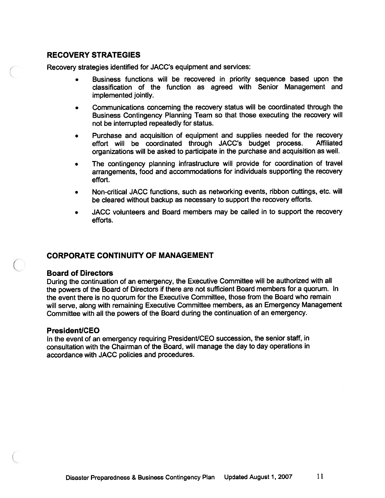#### RECOVERY STRATEGIES

Recovery strategies identified for JACC's equipment and services:

- • Business functions will be recovered in priority sequence based upon the classification of the function as agreed with Senior Management and implemented jointly.
- • Communications concerning the recovery status will be coordinated through the Business Contingency Planning Team so that those executing the recovery will not be interrupted repeatedly for status.
- Purchase and acquisition of equipment and supplies needed for the recovery effort will be coordinated through JACC's budget process. Affiliated organizations will be asked to participate in the purchase and acquisition as wefl.
- • The contingency <sup>p</sup>lanning infrastructure will provide for coordination of travel arrangements, food and accommodations for individuals supporting the recovery effort.
- • Non-critical JACC functions, such as networking events, ribbon cuttings, etc. will be cleared without backup as necessary to suppor<sup>t</sup> the recovery efforts.
- • JACC volunteers and Board members may be called in to suppor<sup>t</sup> the recovery efforts.

#### CORPORATE CONTINUITY OF MANAGEMENT

#### Board of Directors

During the continuation of an emergency, the Executive Committee will be authorized with all the powers of the Board of Directors if there are not sufficient Board members for <sup>a</sup> quorum. In the event there is no quorum for the Executive Committee, those from the Board who remain will serve, along with remaining Executive Committee members, as an Emergency Management Committee with all the powers of the Board during the continuation of an emergency.

#### President/CEO

In the event of an emergency requiring President/CEO succession, the senior staff, in consultation with the Chairman of the Board, will manage the day to day operations in accordance with JACC policies and procedures.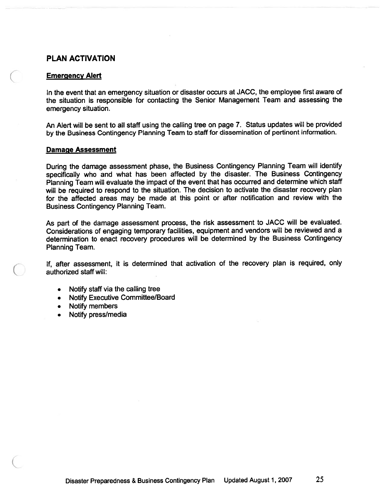#### PLAN ACTIVATION

#### Emergency Alert

In the event that an emergency situation or disaster occurs at JACC, the employee first aware of the situation is responsible for contacting the Senior Management Team and assessing the emergency situation.

An Alert will be sent to all staff using the calling tree on page 7. Status updates will be provided by the Business Contingency Planning Team to staff for dissemination of pertinent information.

#### Damage Assessment

During the damage assessment <sup>p</sup>hase, the Business Contingency Planning Team will identify specifically who and what has been affected by the disaster. The Business Contingency Planning Team will evaluate the impact of the event that has occurred and determine which staff will be required to respond to the situation. The decision to activate the disaster recovery plan for the affected areas may be made at this point or after notification and review with the Business Contingency Planning Team.

As par<sup>t</sup> of the damage assessment process, the risk assessment to JACC will be evaluated. Considerations of engaging temporary facilities, equipment and vendors will be reviewed and <sup>a</sup> determination to enact recovery procedures will be determined by the Business Contingency Planning Team.

If, after assessment, it is determined that activation of the recovery <sup>p</sup>lan is required, only authorized staff will:

- Notify staff via the calling tree
- Notify Executive Committee/Board
- Notify members
- •Notify press/media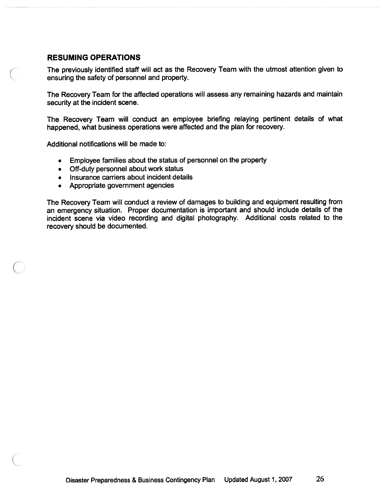#### RESUMING OPERATIONS

The previously identified staff will act as the Recovery Team with the utmost attention <sup>g</sup>iven to ensuring the safety of personnel and property.

The Recovery Team for the affected operations will assess any remaining hazards and maintain security at the incident scene.

The Recovery Team will conduct an employee briefing relaying pertinent details of what happened, what business operations were affected and the <sup>p</sup>lan for recovery.

Additional notifications will be made to:

- Employee families about the status of personne<sup>l</sup> on the property
- Off-duty personnel about work status
- Insurance carriers about incident details
- Appropriate governmen<sup>t</sup> agencies

The Recovery Team will conduct <sup>a</sup> review of damages to building and equipment resulting from an emergency situation. Proper documentation is important and should include details of the incident scene via video recording and digital <sup>p</sup>hotography. Additional costs related to the recovery should be documented.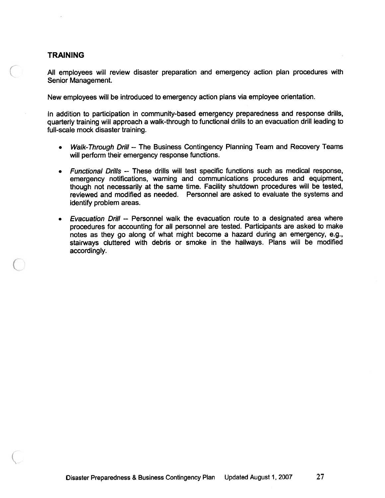#### TRAINING

All employees will review disaster preparation and emergency action <sup>p</sup>lan procedures with Senior Management.

New employees will be introduced to emergency action plans via employee orientation.

In addition to participation in community-based emergency preparedness and response drills, quarterly training will approac<sup>h</sup> <sup>a</sup> walk-through to functional drills to an evacuation drill leading to full-scale mock disaster training.

- •Walk-Through Drill -- The Business Contingency Planning Team and Recovery Teams will perform their emergency response functions.
- Functional Drills -- These drills will test specific functions such as medical response. emergency notifications, warning and communications procedures and equipment, though not necessarily at the same time. Facility shutdown procedures will be tested, reviewed and modified as needed. Personnel are asked to evaluate the systems and identify problem areas.
- Evacuation Drill -- Personnel walk the evacuation route to <sup>a</sup> designated area where procedures for accounting for all personnel are tested. Participants are asked to make notes as they go along of what might become <sup>a</sup> hazard during an emergency, e.g., stairways cluttered with debris or smoke in the hallways. Plans will be modified accordingly.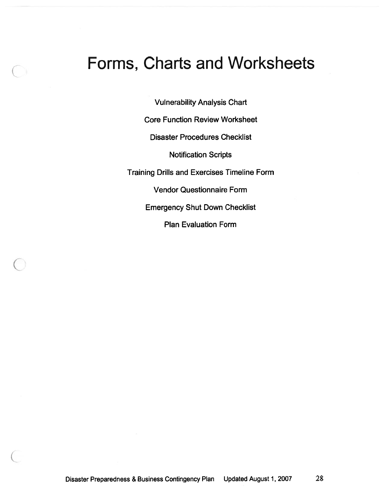# Forms, Charts and Worksheets

Vulnerability Analysis Chart

Core Function Review Worksheet

Disaster Procedures Checklist

Notification Scripts

Training Drills and Exercises Timeline Form

Vendor Questionnaire Form

Emergency Shut Down Checklist

Plan Evaluation Form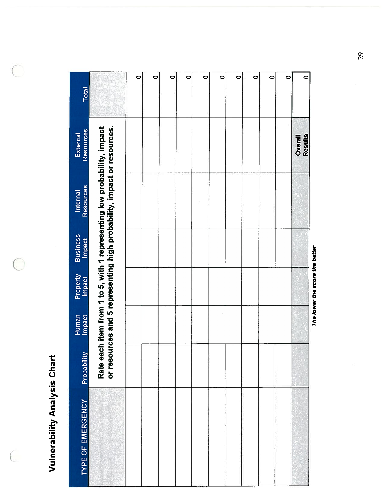**Vulnerability Analysis Chart** Vulnerability Analysis Chart

 $\bigcirc$ 

 $\bigcirc$ 

 $\big($ 

| TYPE OF EMERGENCY | Probability | Human<br><b>Impact</b> | Property<br>Impact | <b>Business</b><br><b>Impact</b> | Resources<br>Internal                                                                                                                             | Resources<br><b>External</b> | <b>Total</b> |
|-------------------|-------------|------------------------|--------------------|----------------------------------|---------------------------------------------------------------------------------------------------------------------------------------------------|------------------------------|--------------|
|                   |             |                        |                    |                                  | Rate each item from 1 to 5, with 1 representing low probability, impact<br>or resources and 5 representing high probability, impact or resources. |                              |              |
|                   |             |                        |                    |                                  |                                                                                                                                                   |                              | $\circ$      |
|                   |             |                        |                    |                                  |                                                                                                                                                   |                              | $\circ$      |
|                   |             |                        |                    |                                  |                                                                                                                                                   |                              | $\circ$      |
|                   |             |                        |                    |                                  |                                                                                                                                                   |                              | $\bullet$    |
|                   |             |                        |                    |                                  |                                                                                                                                                   |                              | $\bullet$    |
|                   |             |                        |                    |                                  |                                                                                                                                                   |                              | $\circ$      |
|                   |             |                        |                    |                                  |                                                                                                                                                   |                              | $\circ$      |
|                   |             |                        |                    |                                  |                                                                                                                                                   |                              | $\circ$      |
|                   |             |                        |                    |                                  |                                                                                                                                                   |                              | $\circ$      |
|                   |             |                        |                    |                                  |                                                                                                                                                   |                              | $\bullet$    |
|                   |             |                        |                    |                                  |                                                                                                                                                   | Overall<br>Results           | $\circ$      |

The lower the score the better The lower the score the better

29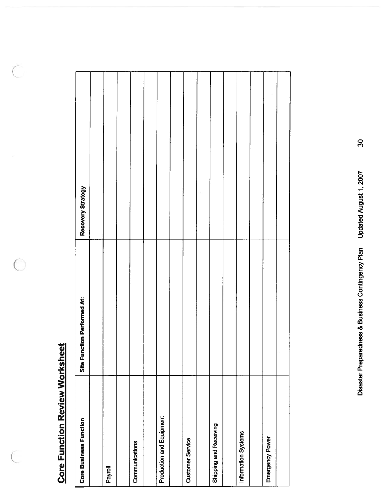# **Core Function Review Worksheet** Core Function Review Worksheet

 $\subset$ 

◠

 $\sqrt{2}$ 

| <b>Core Business Function</b> | Site Function Performed At: | Recovery Strategy |
|-------------------------------|-----------------------------|-------------------|
|                               |                             |                   |
| Payroll                       |                             |                   |
|                               |                             |                   |
| Communications                |                             |                   |
|                               |                             |                   |
| Production and Equipment      |                             |                   |
|                               |                             |                   |
| <b>Customer Service</b>       |                             |                   |
|                               |                             |                   |
| Shipping and Receiving        |                             |                   |
|                               |                             |                   |
| Information Systems           |                             |                   |
|                               |                             |                   |
| Emergency Power               |                             |                   |
|                               |                             |                   |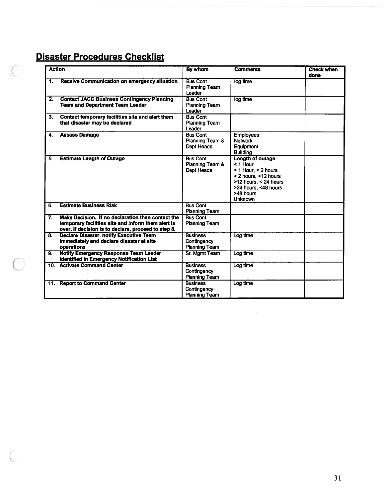# Disaster Procedures Checklist

Œ

 $\overline{\phantom{0}}$ 

|                  | <b>Action</b>                                                                                                                                                  | By whom                                                | <b>Comments</b>                                                                                                                                                        | <b>Check when</b><br>done |
|------------------|----------------------------------------------------------------------------------------------------------------------------------------------------------------|--------------------------------------------------------|------------------------------------------------------------------------------------------------------------------------------------------------------------------------|---------------------------|
| 1.               | Receive Communication on emergency situation                                                                                                                   | <b>Bus Cont</b><br><b>Planning Team</b><br>Leader      | log time                                                                                                                                                               |                           |
| $\overline{2}$ . | <b>Contact JACC Business Contingency Planning</b><br><b>Team and Department Team Leader</b>                                                                    | <b>Bus Cont</b><br><b>Planning Team</b><br>Leader      | log time                                                                                                                                                               |                           |
| 3.               | Contact temporary facilities site and alert them<br>that disaster may be declared                                                                              | <b>Bus Cont</b><br>Planning Team<br>Leader             |                                                                                                                                                                        |                           |
| 4.               | <b>Assess Damage</b>                                                                                                                                           | <b>Bus Cont</b><br>Planning Team &<br>Dept Heads       | <b>Employees</b><br><b>Network</b><br>Equipment<br><b>Building</b>                                                                                                     |                           |
| 5.               | <b>Estimate Length of Outage</b>                                                                                                                               | <b>Bus Cont</b><br>Planning Team &<br>Dept Heads       | <b>Length of outage</b><br>$<$ 1 Hour<br>> 1 Hour, < 2 hours<br>> 2 hours, <12 hours<br>$>12$ hours, < 24 hours<br>>24 hours, <48 hours<br>>48 hours<br><b>Unknown</b> |                           |
| 6.               | <b>Estimate Business Risk</b>                                                                                                                                  | <b>Bus Cont</b><br><b>Planning Team</b>                |                                                                                                                                                                        |                           |
| 7.               | Make Decision. If no declaration then contact the<br>temporary facilities site and inform them alert is<br>over. If decision is to declare, proceed to step 8. | <b>Bus Cont</b><br><b>Planning Team</b>                |                                                                                                                                                                        |                           |
| 8.               | <b>Declare Disaster, notify Executive Team</b><br>immediately and declare disaster at site<br>operations                                                       | <b>Business</b><br>Contingency<br><b>Planning Team</b> | Log time                                                                                                                                                               |                           |
| 9.               | <b>Notify Emergency Response Team Leader</b><br><b>identified in Emergency Notification List</b>                                                               | Sr. Mamt Team                                          | Log time                                                                                                                                                               |                           |
|                  | 10. Activate Command Center                                                                                                                                    | <b>Business</b><br>Contingency<br><b>Planning Team</b> | Log time                                                                                                                                                               |                           |
| 11.              | <b>Report to Command Center</b>                                                                                                                                | <b>Business</b><br>Contingency<br><b>Planning Team</b> | Log time                                                                                                                                                               |                           |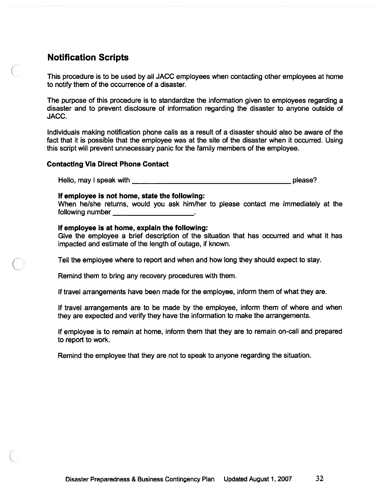#### Notification Scripts

This procedure is to be used by all JACC employees when contacting other employees at home to notify them of the occurrence of <sup>a</sup> disaster.

The purpose of this procedure is to standardize the information given to employees regarding <sup>a</sup> disaster and to preven<sup>t</sup> disclosure of information regarding the disaster to anyone outside of JACC.

Individuals making notification phone calls as <sup>a</sup> result of <sup>a</sup> disaster should also be aware of the fact that it is possible that the employee was at the site of the disaster when it occurred. Using this script will preven<sup>t</sup> unnecessary panic for the family members of the employee. **tification Scripts**<br>
sprocedure is to be used by all JACC employees when contacting other employees<br>
otify them of the occurrence of a disaster.<br>
purpose of this procedure is to standardize the information given to employ

#### Contacting Via Direct Phone Contact

#### If employee is not home, state the following:

When he/she returns, would you ask him/her to please contact me immediately at the following number

#### If employee is at home, explain the following:

Give the employee <sup>a</sup> brief description of the situation that has occurred and what it has impacted and estimate of the length of outage, if known.

Tell the employee where to repor<sup>t</sup> and when and how long they should expec<sup>t</sup> to stay.

Remind them to bring any recovery procedures with them.

If travel arrangements have been made for the employee, inform them of what they are.

If travel arrangements are to be made by the employee, inform them of where and when they are expected and verify they have the information to make the arrangements.

If employee is to remain at home, inform them that they are to remain on-call and prepared to repor<sup>t</sup> to work.

Remind the employee that they are not to speak to anyone regarding the situation.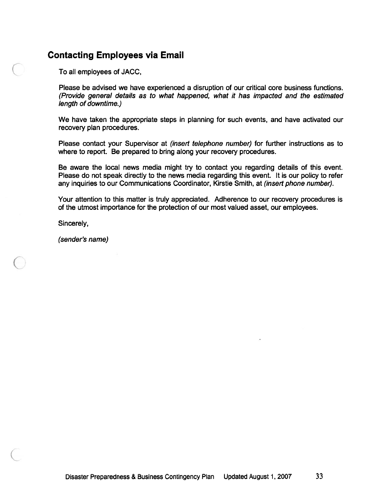#### Contacting Employees via Email

To all employees of JACC,

Please be advised we have experienced <sup>a</sup> disruption of our critical core business functions. (Provide general details as to what happened, what it has impacted and the estimated length of downtime.)

We have taken the appropriate steps in planning for such events, and have activated our recovery plan procedures.

Please contact your Supervisor at *(insert telephone number)* for further instructions as to where to report. Be prepared to bring along your recovery procedures.

Be aware the local news media might try to contact you regarding details of this event. Please do not speak directly to the news media regarding this event. It is our policy to refer any inquiries to our Communications Coordinator, Kirstie Smith, at (insert phone number).

Your attention to this matter is truly appreciated. Adherence to our recovery procedures is of the utmost importance for the protection of our most valued asset, our employees.

Sincerely,

(sender's name)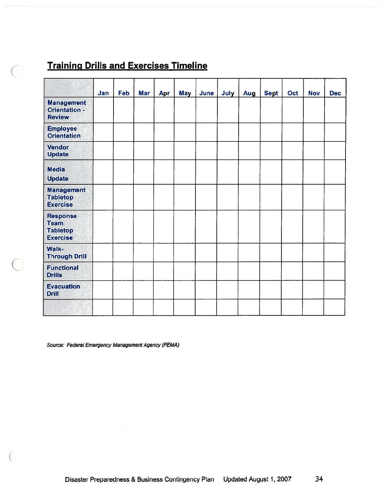## **Training Drills and Exercises Timeline**

|                                                                      | Jan | Feb | <b>Mar</b> | Apr | May | June | July | Aug | <b>Sept</b> | Oct | <b>Nov</b> | <b>Dec</b> |
|----------------------------------------------------------------------|-----|-----|------------|-----|-----|------|------|-----|-------------|-----|------------|------------|
| <b>Management</b><br><b>Orientation -</b><br><b>Review</b>           |     |     |            |     |     |      |      |     |             |     |            |            |
| <b>Employee</b><br><b>Orientation</b>                                |     |     |            |     |     |      |      |     |             |     |            |            |
| <b>Vendor</b><br><b>Update</b>                                       |     |     |            |     |     |      |      |     |             |     |            |            |
| <b>Media</b><br><b>Update</b>                                        |     |     |            |     |     |      |      |     |             |     |            |            |
| <b>Management</b><br><b>Tabletop</b><br><b>Exercise</b>              |     |     |            |     |     |      |      |     |             |     |            |            |
| <b>Response</b><br><b>Team</b><br><b>Tabletop</b><br><b>Exercise</b> |     |     |            |     |     |      |      |     |             |     |            |            |
| <b>Walk-</b><br><b>Through Drill</b>                                 |     |     |            |     |     |      |      |     |             |     |            |            |
| <b>Functional</b><br><b>Drills</b>                                   |     |     |            |     |     |      |      |     |             |     |            |            |
| <b>Evacuation</b><br><b>Drill</b>                                    |     |     |            |     |     |      |      |     |             |     |            |            |
|                                                                      |     |     |            |     |     |      |      |     |             |     |            |            |

Source: Federal Emergency Management Agency (FEMA)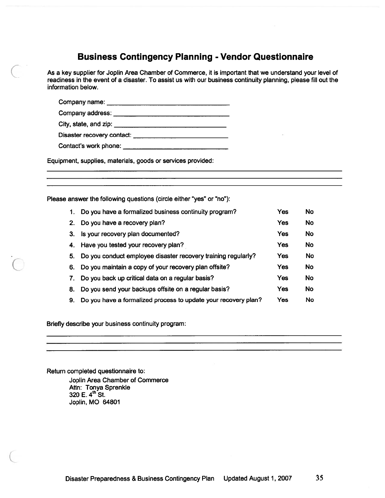#### Business Contingency Planning - Vendor Questionnaire

As <sup>a</sup> key supplier for Joplin Area Chamber of Commerce, it is important that we understand your level of readiness in the event of <sup>a</sup> disaster. To assist us with our business continuity planning, please fill out the information below. **Business Contingency Planning - Ve**<br>Rev supplier for Joplin Area Chamber of Commerce, it is impliness in the event of a disaster. To assist us with our busines<br>mation below.<br>Company name: Business Contingency Planning - Ve<br>
Key supplier for Joplin Area Chamber of Commerce, it is impriness in the event of a disaster. To assist us with our busines<br>
mation below.<br>
Company name: \_\_\_\_\_\_\_\_\_\_\_\_\_\_\_\_\_\_\_\_\_\_\_\_\_\_\_\_\_\_\_\_

City, state, and zip:

Disaster recovery contact:

Contact's work phone:

Equipment, supplies, materials, goods or services provided:

Please answer the following questions (circle either "yes" or "no"):

| 1. | Do you have a formalized business continuity program?          | Yes | <b>No</b> |
|----|----------------------------------------------------------------|-----|-----------|
| 2. | Do you have a recovery plan?                                   | Yes | <b>No</b> |
| 3. | Is your recovery plan documented?                              | Yes | No        |
|    | 4. Have you tested your recovery plan?                         | Yes | No        |
| 5. | Do you conduct employee disaster recovery training regularly?  | Yes | No        |
| 6. | Do you maintain a copy of your recovery plan offsite?          | Yes | <b>No</b> |
| 7. | Do you back up critical data on a regular basis?               | Yes | <b>No</b> |
| 8. | Do you send your backups offsite on a regular basis?           | Yes | <b>No</b> |
| 9. | Do you have a formalized process to update your recovery plan? | Yes | No        |

Briefly describe your business continuity program:

Return completed questionnaire to:

Joplin Area Chamber of Commerce Attn: Tonya Sprenkle 320 E.  $4^{\text{th}}$  St. Joplin, MO 64801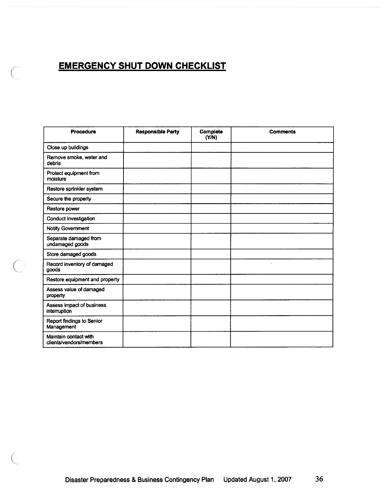# EMERGENCY SHUT DOWN CHECKLIST

◯

| <b>Procedure</b>                                 | <b>Responsible Party</b> | Complete<br>(YM) | <b>Comments</b> |
|--------------------------------------------------|--------------------------|------------------|-----------------|
| Close up buildings                               |                          |                  |                 |
| Remove smoke, water and<br>debris                |                          |                  |                 |
| Protect equipment from<br>moisture               |                          |                  |                 |
| Restore sprinkler system                         |                          |                  |                 |
| Secure the property                              |                          |                  |                 |
| Restore power                                    |                          |                  |                 |
| Conduct investigation                            |                          |                  |                 |
| Notify Government                                |                          |                  |                 |
| Separate damaged from<br>undamaged goods         |                          |                  |                 |
| Store damaged goods                              |                          |                  |                 |
| Record inventory of damaged<br>goods             |                          |                  | c               |
| Restore equipment and property                   |                          |                  |                 |
| Assess value of damaged<br>property              |                          |                  |                 |
| Assess impact of business<br>interruption        |                          |                  |                 |
| <b>Report findings to Senior</b><br>Management   |                          |                  |                 |
| Maintain contact with<br>clients/vendors/members |                          |                  |                 |